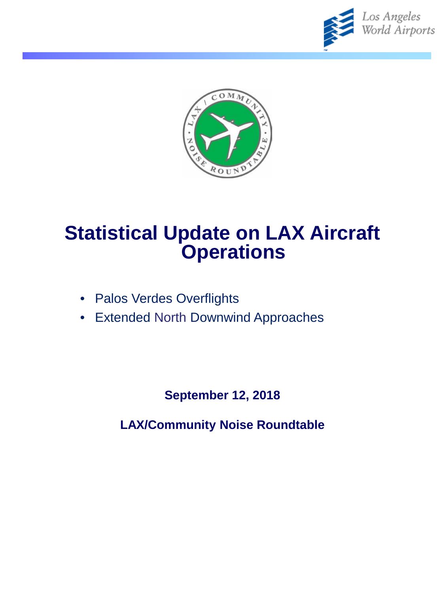



## **Statistical Update on LAX Aircraft Operations**

- Palos Verdes Overflights
- Extended North Downwind Approaches

**September 12, 2018**

**LAX/Community Noise Roundtable**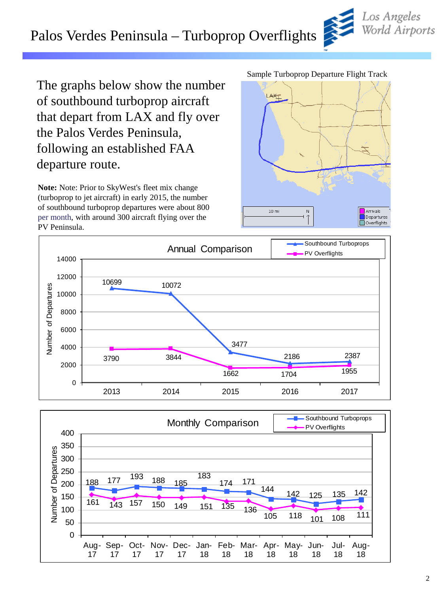## Palos Verdes Peninsula – Turboprop Overflights

The graphs below show the number of southbound turboprop aircraft that depart from LAX and fly over the Palos Verdes Peninsula, following an established FAA departure route.

**Note:** Note: Prior to SkyWest's fleet mix change (turboprop to jet aircraft) in early 2015, the number of southbound turboprop departures were about 800 per month, with around 300 aircraft flying over the PV Peninsula.









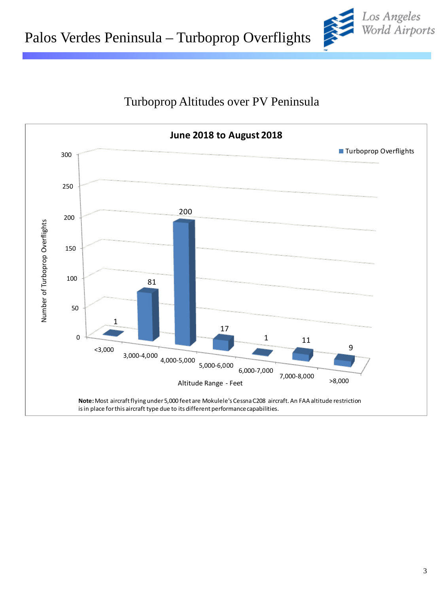



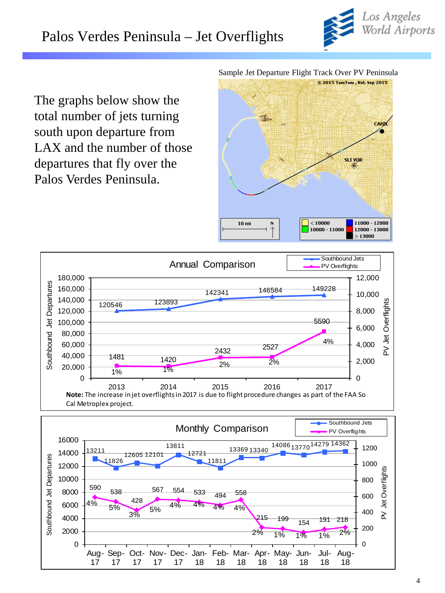

The graphs below show the total number of jets turning south upon departure from LAX and the number of those departures that fly over the Palos Verdes Peninsula.





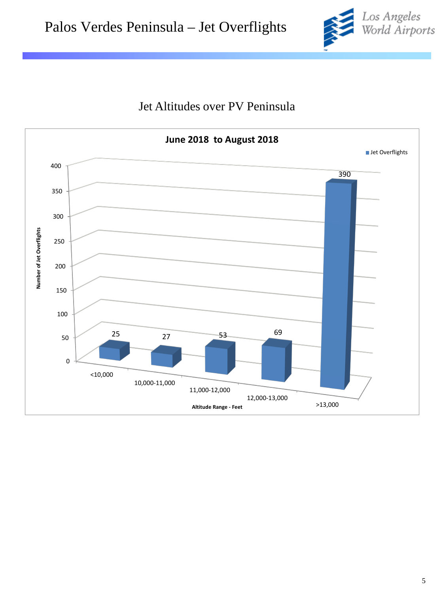



## Jet Altitudes over PV Peninsula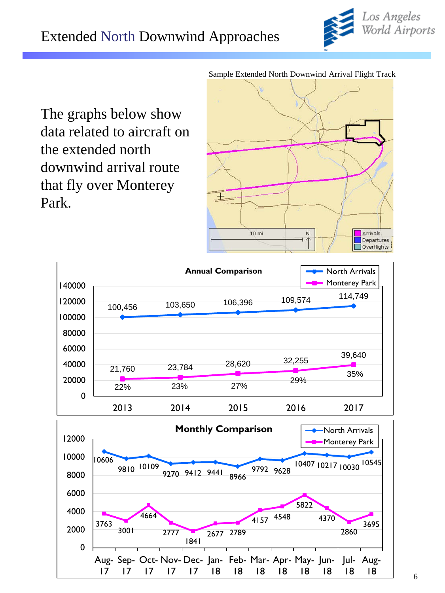

The graphs below show data related to aircraft on the extended north downwind arrival route that fly over Monterey Park.